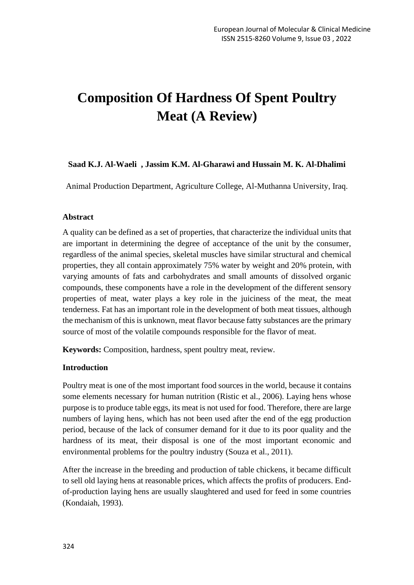# **Composition Of Hardness Of Spent Poultry Meat (A Review)**

### **Saad K.J. Al-Waeli , Jassim K.M. Al-Gharawi and Hussain M. K. Al-Dhalimi**

Animal Production Department, Agriculture College, Al-Muthanna University, Iraq.

#### **Abstract**

A quality can be defined as a set of properties, that characterize the individual units that are important in determining the degree of acceptance of the unit by the consumer, regardless of the animal species, skeletal muscles have similar structural and chemical properties, they all contain approximately 75% water by weight and 20% protein, with varying amounts of fats and carbohydrates and small amounts of dissolved organic compounds, these components have a role in the development of the different sensory properties of meat, water plays a key role in the juiciness of the meat, the meat tenderness. Fat has an important role in the development of both meat tissues, although the mechanism of this is unknown, meat flavor because fatty substances are the primary source of most of the volatile compounds responsible for the flavor of meat.

**Keywords:** Composition, hardness, spent poultry meat, review.

#### **Introduction**

Poultry meat is one of the most important food sources in the world, because it contains some elements necessary for human nutrition (Ristic et al., 2006). Laying hens whose purpose is to produce table eggs, its meat is not used for food. Therefore, there are large numbers of laying hens, which has not been used after the end of the egg production period, because of the lack of consumer demand for it due to its poor quality and the hardness of its meat, their disposal is one of the most important economic and environmental problems for the poultry industry (Souza et al., 2011).

After the increase in the breeding and production of table chickens, it became difficult to sell old laying hens at reasonable prices, which affects the profits of producers. Endof-production laying hens are usually slaughtered and used for feed in some countries (Kondaiah, 1993).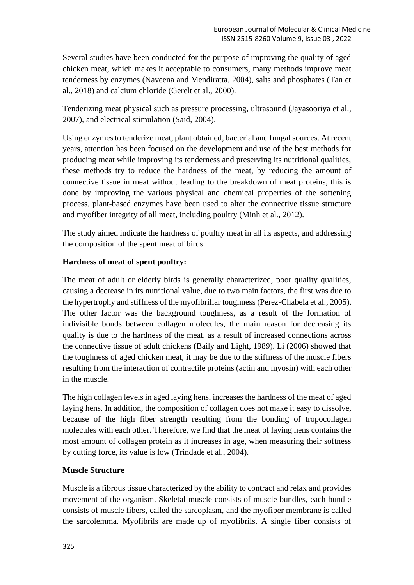Several studies have been conducted for the purpose of improving the quality of aged chicken meat, which makes it acceptable to consumers, many methods improve meat tenderness by enzymes (Naveena and Mendiratta, 2004), salts and phosphates (Tan et al., 2018) and calcium chloride (Gerelt et al., 2000).

Tenderizing meat physical such as pressure processing, ultrasound (Jayasooriya et al., 2007), and electrical stimulation (Said, 2004).

Using enzymes to tenderize meat, plant obtained, bacterial and fungal sources. At recent years, attention has been focused on the development and use of the best methods for producing meat while improving its tenderness and preserving its nutritional qualities, these methods try to reduce the hardness of the meat, by reducing the amount of connective tissue in meat without leading to the breakdown of meat proteins, this is done by improving the various physical and chemical properties of the softening process, plant-based enzymes have been used to alter the connective tissue structure and myofiber integrity of all meat, including poultry (Minh et al., 2012).

The study aimed indicate the hardness of poultry meat in all its aspects, and addressing the composition of the spent meat of birds.

## **Hardness of meat of spent poultry:**

The meat of adult or elderly birds is generally characterized, poor quality qualities, causing a decrease in its nutritional value, due to two main factors, the first was due to the hypertrophy and stiffness of the myofibrillar toughness (Perez-Chabela et al., 2005). The other factor was the background toughness, as a result of the formation of indivisible bonds between collagen molecules, the main reason for decreasing its quality is due to the hardness of the meat, as a result of increased connections across the connective tissue of adult chickens (Baily and Light, 1989). Li (2006) showed that the toughness of aged chicken meat, it may be due to the stiffness of the muscle fibers resulting from the interaction of contractile proteins (actin and myosin) with each other in the muscle.

The high collagen levels in aged laying hens, increases the hardness of the meat of aged laying hens. In addition, the composition of collagen does not make it easy to dissolve, because of the high fiber strength resulting from the bonding of tropocollagen molecules with each other. Therefore, we find that the meat of laying hens contains the most amount of collagen protein as it increases in age, when measuring their softness by cutting force, its value is low (Trindade et al., 2004).

#### **Muscle Structure**

Muscle is a fibrous tissue characterized by the ability to contract and relax and provides movement of the organism. Skeletal muscle consists of muscle bundles, each bundle consists of muscle fibers, called the sarcoplasm, and the myofiber membrane is called the sarcolemma. Myofibrils are made up of myofibrils. A single fiber consists of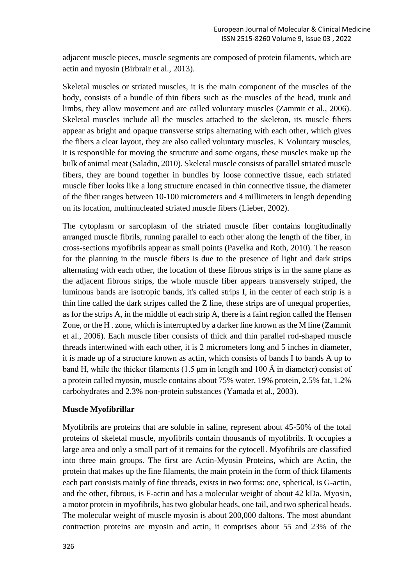adjacent muscle pieces, muscle segments are composed of protein filaments, which are actin and myosin (Birbrair et al., 2013).

Skeletal muscles or striated muscles, it is the main component of the muscles of the body, consists of a bundle of thin fibers such as the muscles of the head, trunk and limbs, they allow movement and are called voluntary muscles (Zammit et al., 2006). Skeletal muscles include all the muscles attached to the skeleton, its muscle fibers appear as bright and opaque transverse strips alternating with each other, which gives the fibers a clear layout, they are also called voluntary muscles. K Voluntary muscles, it is responsible for moving the structure and some organs, these muscles make up the bulk of animal meat (Saladin, 2010). Skeletal muscle consists of parallel striated muscle fibers, they are bound together in bundles by loose connective tissue, each striated muscle fiber looks like a long structure encased in thin connective tissue, the diameter of the fiber ranges between 10-100 micrometers and 4 millimeters in length depending on its location, multinucleated striated muscle fibers (Lieber, 2002).

The cytoplasm or sarcoplasm of the striated muscle fiber contains longitudinally arranged muscle fibrils, running parallel to each other along the length of the fiber, in cross-sections myofibrils appear as small points (Pavelka and Roth, 2010). The reason for the planning in the muscle fibers is due to the presence of light and dark strips alternating with each other, the location of these fibrous strips is in the same plane as the adjacent fibrous strips, the whole muscle fiber appears transversely striped, the luminous bands are isotropic bands, it's called strips I, in the center of each strip is a thin line called the dark stripes called the Z line, these strips are of unequal properties, as for the strips A, in the middle of each strip A, there is a faint region called the Hensen Zone, or the H . zone, which is interrupted by a darker line known as the M line (Zammit et al., 2006). Each muscle fiber consists of thick and thin parallel rod-shaped muscle threads intertwined with each other, it is 2 micrometers long and 5 inches in diameter, it is made up of a structure known as actin, which consists of bands I to bands A up to band H, while the thicker filaments (1.5 μm in length and 100 Å in diameter) consist of a protein called myosin, muscle contains about 75% water, 19% protein, 2.5% fat, 1.2% carbohydrates and 2.3% non-protein substances (Yamada et al., 2003).

## **Muscle Myofibrillar**

Myofibrils are proteins that are soluble in saline, represent about 45-50% of the total proteins of skeletal muscle, myofibrils contain thousands of myofibrils. It occupies a large area and only a small part of it remains for the cytocell. Myofibrils are classified into three main groups. The first are Actin-Myosin Proteins, which are Actin, the protein that makes up the fine filaments, the main protein in the form of thick filaments each part consists mainly of fine threads, exists in two forms: one, spherical, is G-actin, and the other, fibrous, is F-actin and has a molecular weight of about 42 kDa. Myosin, a motor protein in myofibrils, has two globular heads, one tail, and two spherical heads . The molecular weight of muscle myosin is about 200,000 daltons. The most abundant contraction proteins are myosin and actin, it comprises about 55 and 23% of the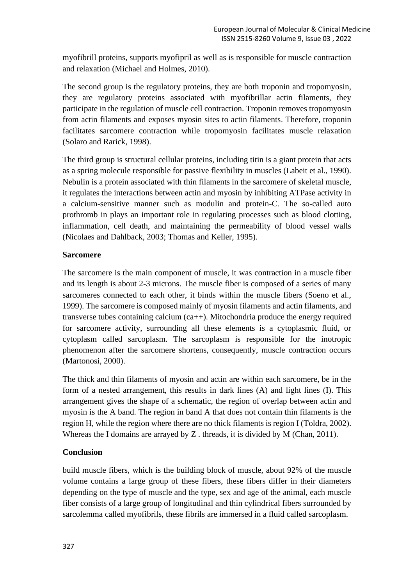myofibrill proteins, supports myofipril as well as is responsible for muscle contraction and relaxation (Michael and Holmes, 2010).

The second group is the regulatory proteins, they are both troponin and tropomyosin, they are regulatory proteins associated with myofibrillar actin filaments, they participate in the regulation of muscle cell contraction. Troponin removes tropomyosin from actin filaments and exposes myosin sites to actin filaments. Therefore, troponin facilitates sarcomere contraction while tropomyosin facilitates muscle relaxation (Solaro and Rarick, 1998).

The third group is structural cellular proteins, including titin is a giant protein that acts as a spring molecule responsible for passive flexibility in muscles (Labeit et al., 1990). Nebulin is a protein associated with thin filaments in the sarcomere of skeletal muscle, it regulates the interactions between actin and myosin by inhibiting ATPase activity in a calcium-sensitive manner such as modulin and protein-C. The so-called auto prothromb in plays an important role in regulating processes such as blood clotting, inflammation, cell death, and maintaining the permeability of blood vessel walls (Nicolaes and Dahlback, 2003; Thomas and Keller, 1995).

## **Sarcomere**

The sarcomere is the main component of muscle, it was contraction in a muscle fiber and its length is about 2-3 microns. The muscle fiber is composed of a series of many sarcomeres connected to each other, it binds within the muscle fibers (Soeno et al., 1999). The sarcomere is composed mainly of myosin filaments and actin filaments, and transverse tubes containing calcium (ca++). Mitochondria produce the energy required for sarcomere activity, surrounding all these elements is a cytoplasmic fluid, or cytoplasm called sarcoplasm. The sarcoplasm is responsible for the inotropic phenomenon after the sarcomere shortens, consequently, muscle contraction occurs (Martonosi, 2000).

The thick and thin filaments of myosin and actin are within each sarcomere, be in the form of a nested arrangement, this results in dark lines (A) and light lines (I). This arrangement gives the shape of a schematic, the region of overlap between actin and myosin is the A band. The region in band A that does not contain thin filaments is the region H, while the region where there are no thick filaments is region I (Toldra, 2002). Whereas the I domains are arrayed by Z . threads, it is divided by M (Chan, 2011).

## **Conclusion**

build muscle fibers, which is the building block of muscle, about 92% of the muscle volume contains a large group of these fibers, these fibers differ in their diameters depending on the type of muscle and the type, sex and age of the animal, each muscle fiber consists of a large group of longitudinal and thin cylindrical fibers surrounded by sarcolemma called myofibrils, these fibrils are immersed in a fluid called sarcoplasm.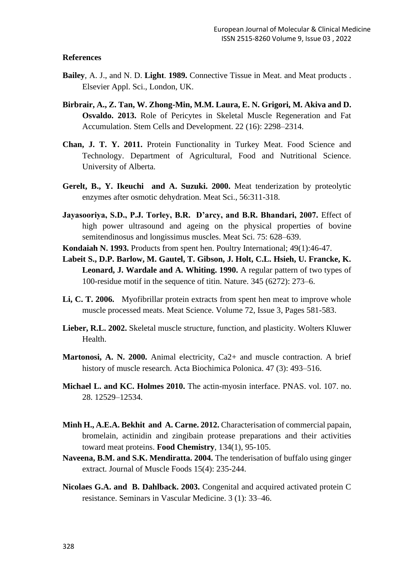#### **References**

- **Bailey**, A. J., and N. D. **Light**. **1989.** Connective Tissue in Meat. and Meat products . Elsevier Appl. Sci., London, UK.
- **Birbrair, A., Z. Tan, W. Zhong-Min, M.M. Laura, E. N. Grigori, M. Akiva and D. Osvaldo. 2013.** Role of Pericytes in Skeletal Muscle Regeneration and Fat Accumulation. Stem Cells and Development. 22 (16): 2298–2314.
- **Chan, J. T. Y. 2011.** Protein Functionality in Turkey Meat. Food Science and Technology. Department of Agricultural, Food and Nutritional Science. University of Alberta.
- **Gerelt, B., Y. Ikeuchi and A. Suzuki. 2000.** Meat tenderization by proteolytic enzymes after osmotic dehydration. Meat Sci., 56:311-318.
- **Jayasooriya, S.D., P.J. Torley, B.R. D'arcy, and B.R. Bhandari, 2007.** Effect of high power ultrasound and ageing on the physical properties of bovine semitendinosus and longissimus muscles. Meat Sci. 75: 628–639.
- **Kondaiah N. 1993.** Products from spent hen. Poultry International; 49(1):46-47.
- **Labeit S., D.P. Barlow, M. Gautel, T. Gibson, J. Holt, C.L. Hsieh, U. Francke, K. Leonard, J. Wardale and A. Whiting. 1990.** A regular pattern of two types of 100-residue motif in the sequence of titin. Nature. 345 (6272): 273–6.
- **Li, [C. T. 2006.](http://www.sciencedirect.com/science/article/pii/S0309174005003128#!)** Myofibrillar protein extracts from spent hen meat to improve whole muscle processed meats. Meat Science. Volume 72, Issue 3, Pages 581-583.
- **Lieber, R.L. 2002.** Skeletal muscle structure, function, and plasticity. Wolters Kluwer Health.
- **Martonosi, A. N. 2000.** Animal electricity, Ca2+ and muscle contraction. A brief history of muscle research. Acta Biochimica Polonica. 47 (3): 493–516.
- **Michael L. and KC. Holmes 2010.** The actin-myosin interface. PNAS. vol. 107. no. 28. 12529–12534.
- **Minh H., A.E.A. Bekhit and A. Carne. 2012.** Characterisation of commercial papain, bromelain, actinidin and zingibain protease preparations and their activities toward meat proteins. **[Food Chemistry](https://app.dimensions.ai/discover/publication?&and_facet_journal=jour.1086261)**, 134(1), 95-105.
- **Naveena, B.M. and S.K. Mendiratta. 2004.** The tenderisation of buffalo using ginger extract. Journal of Muscle Foods 15(4): 235-244.
- **Nicolaes G.A. and B. Dahlback. 2003.** Congenital and acquired activated protein C resistance. Seminars in Vascular Medicine. 3 (1): 33–46.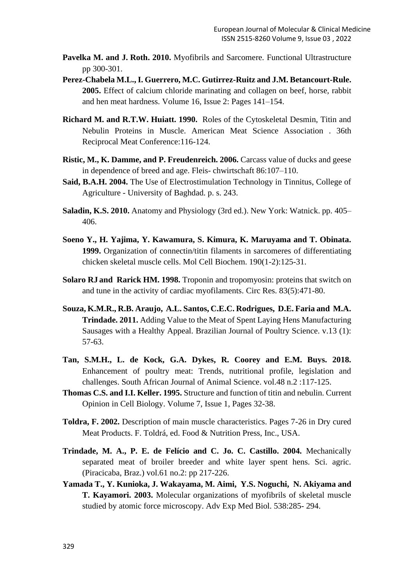- **Pavelka M. and J. Roth. 2010.** Myofibrils and Sarcomere. [Functional Ultrastructure](https://link.springer.com/book/10.1007/978-3-211-99390-3) pp 300-301.
- **Perez-Chabela M.L., I. Guerrero, M.C. Gutirrez-Ruitz and J.M. Betancourt-Rule. 2005.** Effect of calcium chloride marinating and collagen on beef, horse, rabbit and hen meat hardness. Volume 16, Issue 2: Pages 141–154.
- **Richard M. and R.T.W. Huiatt. 1990.** Roles of the Cytoskeletal Desmin, Titin and Nebulin Proteins in Muscle. American Meat Science Association . 36th Reciprocal Meat Conference:116-124.
- **Ristic, M., K. Damme, and P. Freudenreich. 2006.** Carcass value of ducks and geese in dependence of breed and age. Fleis- chwirtschaft 86:107–110.
- **Said, B.A.H. 2004.** The Use of Electrostimulation Technology in Tinnitus, College of Agriculture - University of Baghdad. p. s. 243.
- **Saladin, K.S. 2010.** Anatomy and Physiology (3rd ed.). New York: Watnick. pp. 405– 406.
- **Soeno Y., H. Yajima, Y. Kawamura, S. Kimura, K. Maruyama and T. Obinata. 1999.** Organization of connectin/titin filaments in sarcomeres of differentiating chicken skeletal muscle cells. Mol Cell Biochem. 190(1-2):125-31.
- **[Solaro RJ](https://www.ncbi.nlm.nih.gov/pubmed/?term=Solaro%20RJ%5BAuthor%5D&cauthor=true&cauthor_uid=9734469) and [Rarick HM.](https://www.ncbi.nlm.nih.gov/pubmed/?term=Rarick%20HM%5BAuthor%5D&cauthor=true&cauthor_uid=9734469) 1998.** Troponin and tropomyosin: proteins that switch on and tune in the activity of cardiac myofilaments. [Circ Res.](https://www.ncbi.nlm.nih.gov/pubmed/9734469) 83(5):471-80.
- **Souza, K.M.R., R.B. Araujo, A.L. Santos, C.E.C. Rodrigues, D.E. Faria and M.A. Trindade. 2011.** Adding Value to the Meat of Spent Laying Hens Manufacturing Sausages with a Healthy Appeal. Brazilian Journal of Poultry Science. v.13 (1): 57-63.
- **Tan, S.M.H., L. de Kock, G.A. Dykes, R. Coorey and E.M. Buys. 2018.** Enhancement of poultry meat: Trends, nutritional profile, legislation and challenges. [South African Journal of Animal Science.](http://www.scielo.org.za/scielo.php?script=sci_serial&pid=0375-1589&lng=en&nrm=iso) vol.48 n.2 :117-125.
- **Thomas C.S. and I.I. Keller. 1995.** Structure and function of titin and nebulin. Current Opinion in Cell Biology. Volume 7, Issue 1, Pages 32-38.
- **Toldra, F. 2002.** Description of main muscle characteristics. Pages 7-26 in Dry cured Meat Products. F. Toldrá, ed. Food & Nutrition Press, Inc., USA.
- **Trindade, M. A., P. E. de Felício and C. Jo. C. Castillo. 2004.** Mechanically separated meat of broiler breeder and white layer spent hens. Sci. agric. (Piracicaba, Braz.) vol.61 no.2: pp 217-226.
- **Yamada T., Y. [Kunioka,](https://www.ncbi.nlm.nih.gov/pubmed/?term=Kunioka%20Y%5BAuthor%5D&cauthor=true&cauthor_uid=15098676) J. [Wakayama,](https://www.ncbi.nlm.nih.gov/pubmed/?term=Wakayama%20J%5BAuthor%5D&cauthor=true&cauthor_uid=15098676) M. [Aimi,](https://www.ncbi.nlm.nih.gov/pubmed/?term=Aimi%20M%5BAuthor%5D&cauthor=true&cauthor_uid=15098676) Y.S. Noguchi, N. Akiyama and T. Kayamori. 2003.** Molecular organizations of myofibrils of skeletal muscle studied by atomic force microscopy. Adv Exp Med Biol. 538:285- 294.